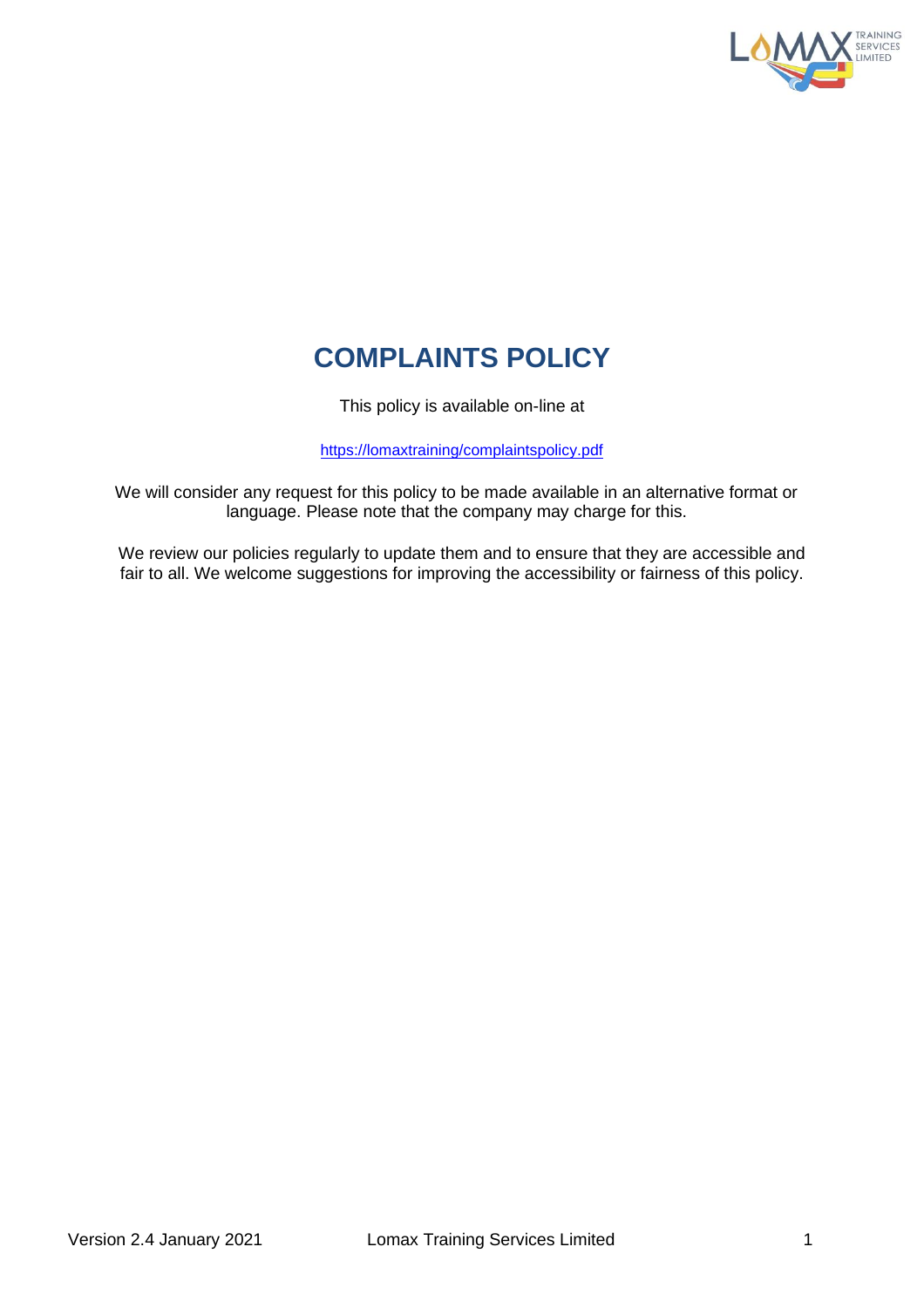

# **COMPLAINTS POLICY**

This policy is available on-line at

[https://lomaxtraining/complaintspolicy.pdf](https://ae912b80-6064-468c-a6f3-5cc1125cedd8.usrfiles.com/ugd/ae912b_2c3b4ab7c116458887cc658c02da516b.pdf)

We will consider any request for this policy to be made available in an alternative format or language. Please note that the company may charge for this.

We review our policies regularly to update them and to ensure that they are accessible and fair to all. We welcome suggestions for improving the accessibility or fairness of this policy.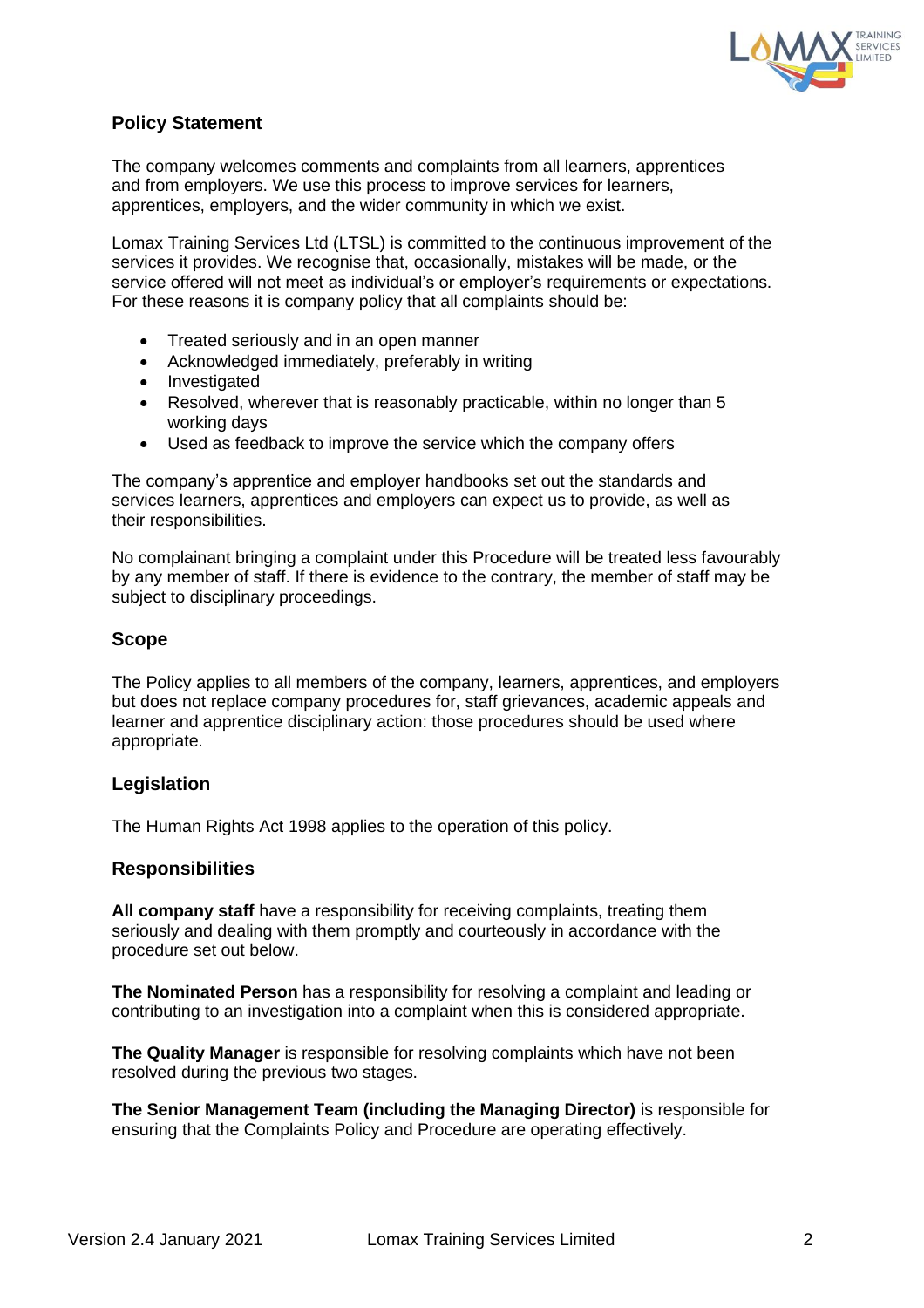

## **Policy Statement**

The company welcomes comments and complaints from all learners, apprentices and from employers. We use this process to improve services for learners, apprentices, employers, and the wider community in which we exist.

Lomax Training Services Ltd (LTSL) is committed to the continuous improvement of the services it provides. We recognise that, occasionally, mistakes will be made, or the service offered will not meet as individual's or employer's requirements or expectations. For these reasons it is company policy that all complaints should be:

- Treated seriously and in an open manner
- Acknowledged immediately, preferably in writing
- Investigated
- Resolved, wherever that is reasonably practicable, within no longer than 5 working days
- Used as feedback to improve the service which the company offers

The company's apprentice and employer handbooks set out the standards and services learners, apprentices and employers can expect us to provide, as well as their responsibilities.

No complainant bringing a complaint under this Procedure will be treated less favourably by any member of staff. If there is evidence to the contrary, the member of staff may be subject to disciplinary proceedings.

## **Scope**

The Policy applies to all members of the company, learners, apprentices, and employers but does not replace company procedures for, staff grievances, academic appeals and learner and apprentice disciplinary action: those procedures should be used where appropriate.

#### **Legislation**

The Human Rights Act 1998 applies to the operation of this policy.

#### **Responsibilities**

**All company staff** have a responsibility for receiving complaints, treating them seriously and dealing with them promptly and courteously in accordance with the procedure set out below.

**The Nominated Person** has a responsibility for resolving a complaint and leading or contributing to an investigation into a complaint when this is considered appropriate.

**The Quality Manager** is responsible for resolving complaints which have not been resolved during the previous two stages.

**The Senior Management Team (including the Managing Director)** is responsible for ensuring that the Complaints Policy and Procedure are operating effectively.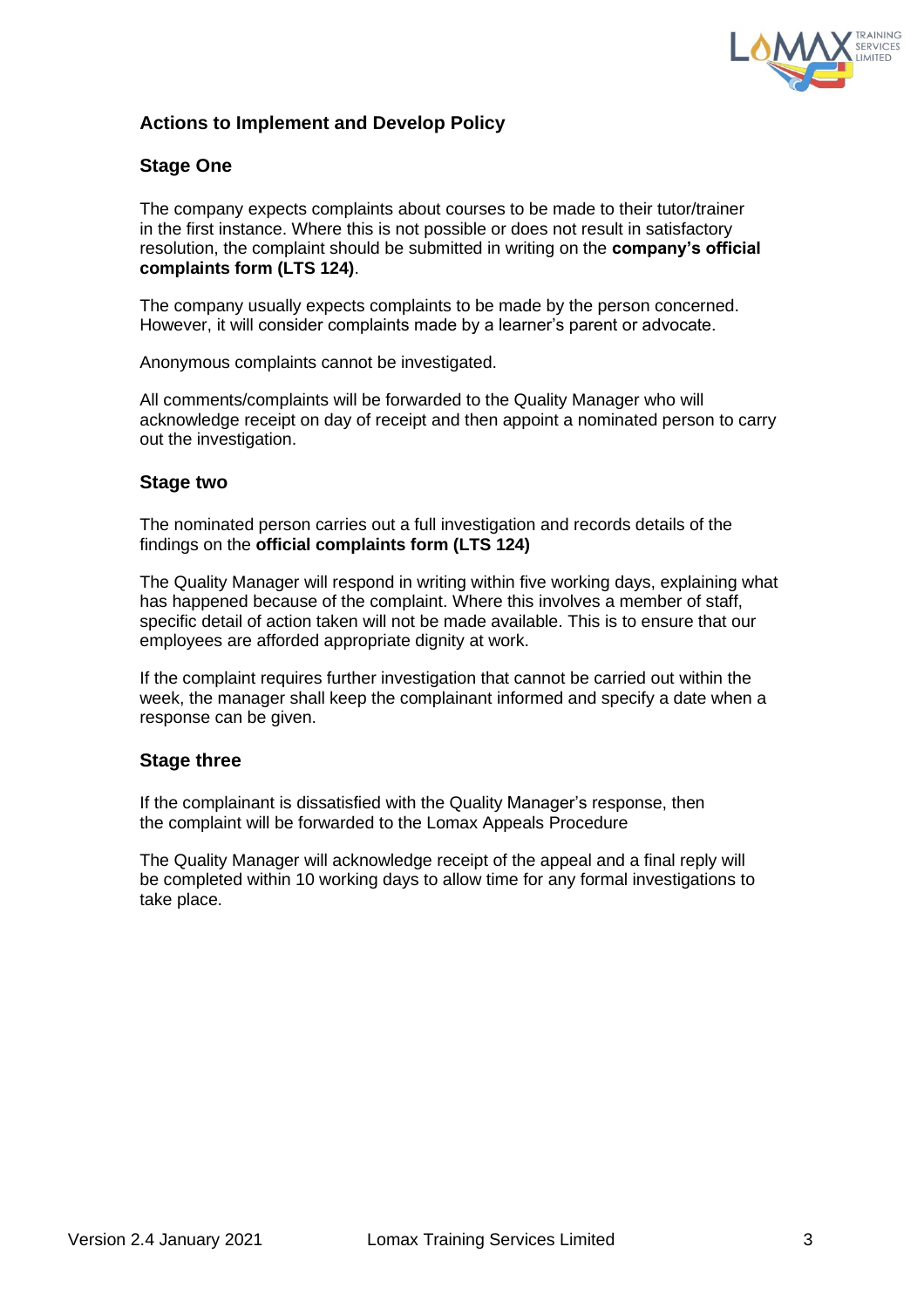

## **Actions to Implement and Develop Policy**

### **Stage One**

The company expects complaints about courses to be made to their tutor/trainer in the first instance. Where this is not possible or does not result in satisfactory resolution, the complaint should be submitted in writing on the **company's official complaints form (LTS 124)**.

The company usually expects complaints to be made by the person concerned. However, it will consider complaints made by a learner's parent or advocate.

Anonymous complaints cannot be investigated.

All comments/complaints will be forwarded to the Quality Manager who will acknowledge receipt on day of receipt and then appoint a nominated person to carry out the investigation.

#### **Stage two**

The nominated person carries out a full investigation and records details of the findings on the **official complaints form (LTS 124)**

The Quality Manager will respond in writing within five working days, explaining what has happened because of the complaint. Where this involves a member of staff, specific detail of action taken will not be made available. This is to ensure that our employees are afforded appropriate dignity at work.

If the complaint requires further investigation that cannot be carried out within the week, the manager shall keep the complainant informed and specify a date when a response can be given.

#### **Stage three**

If the complainant is dissatisfied with the Quality Manager's response, then the complaint will be forwarded to the Lomax Appeals Procedure

The Quality Manager will acknowledge receipt of the appeal and a final reply will be completed within 10 working days to allow time for any formal investigations to take place.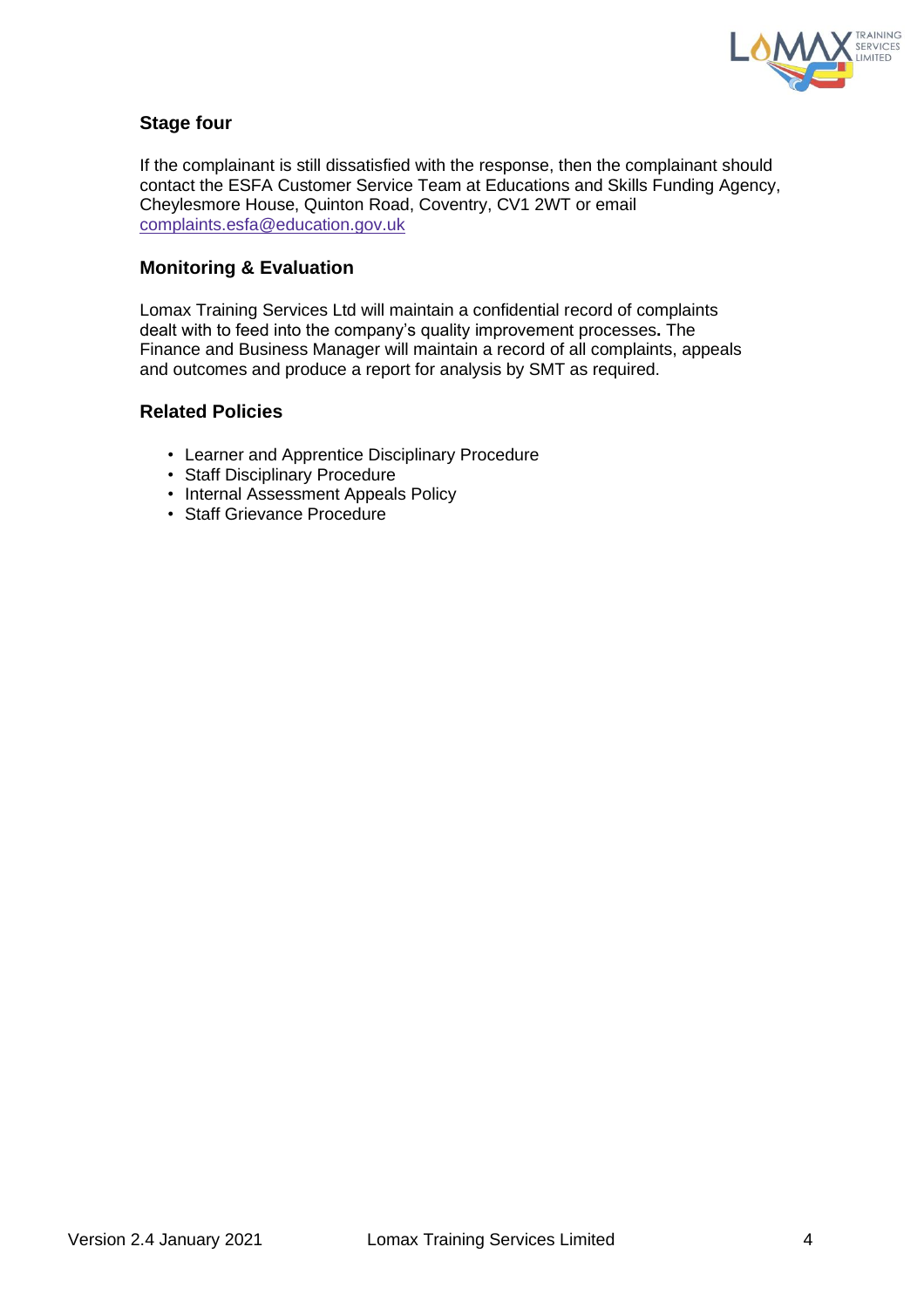

## **Stage four**

If the complainant is still dissatisfied with the response, then the complainant should contact the ESFA Customer Service Team at Educations and Skills Funding Agency, Cheylesmore House, Quinton Road, Coventry, CV1 2WT or email [complaints.esfa@education.gov.uk](mailto:complaints.esfa@education.gov.uk)

### **Monitoring & Evaluation**

Lomax Training Services Ltd will maintain a confidential record of complaints dealt with to feed into the company's quality improvement processes**.** The Finance and Business Manager will maintain a record of all complaints, appeals and outcomes and produce a report for analysis by SMT as required.

#### **Related Policies**

- Learner and Apprentice Disciplinary Procedure
- Staff Disciplinary Procedure
- Internal Assessment Appeals Policy
- Staff Grievance Procedure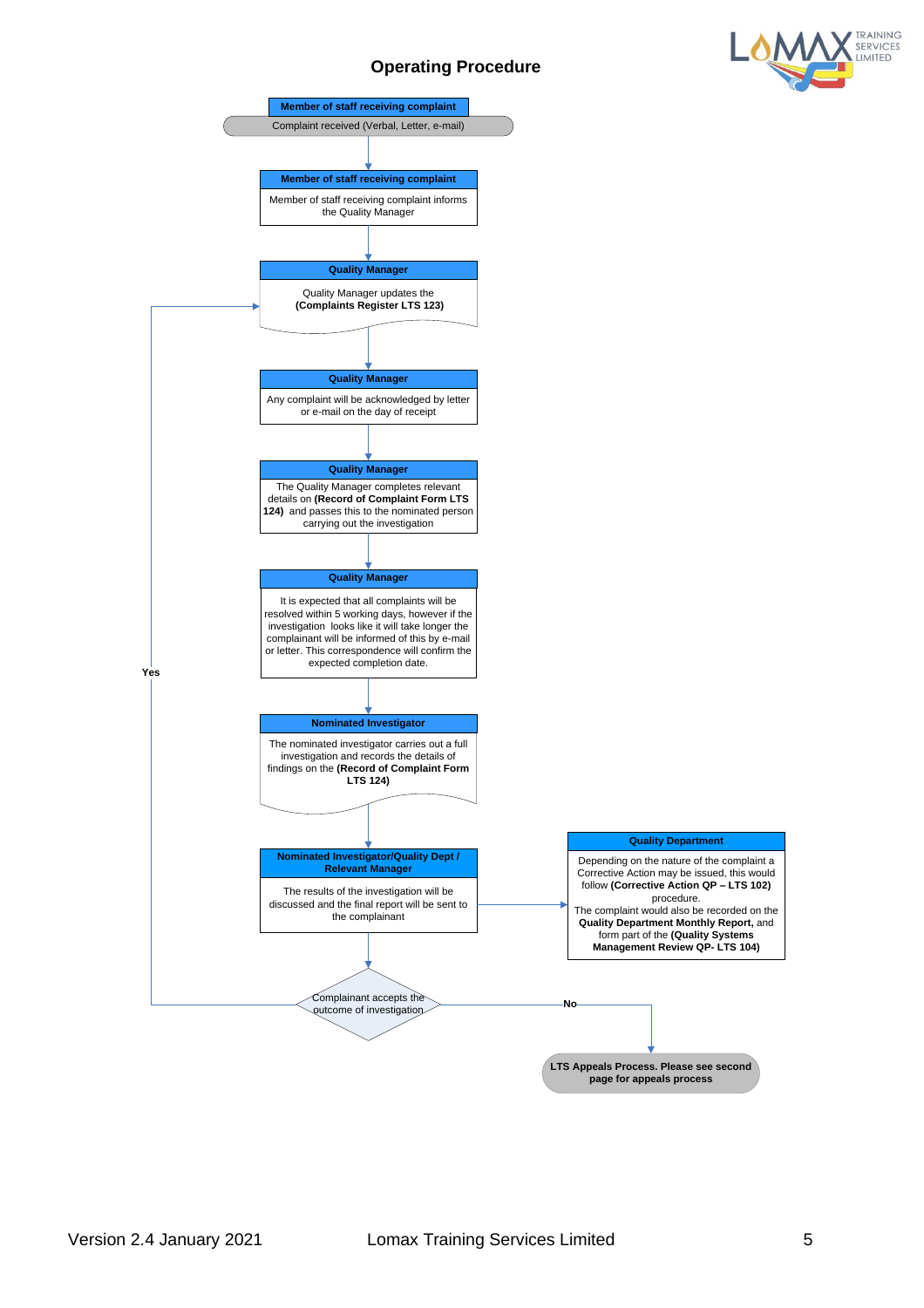## **Operating Procedure**